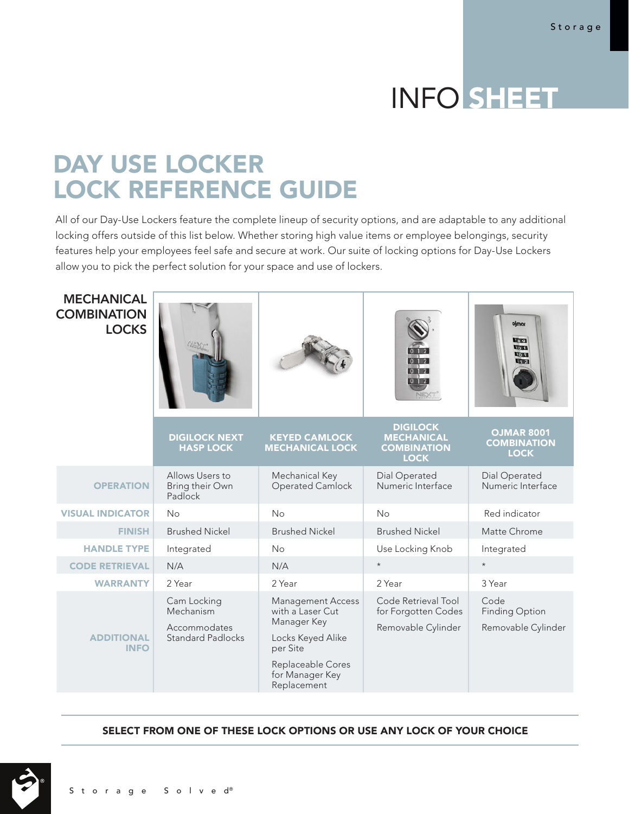# INFO SHEET

# DAY USE LOCKER LOCK REFERENCE GUIDE

All of our Day-Use Lockers feature the complete lineup of security options, and are adaptable to any additional locking offers outside of this list below. Whether storing high value items or employee belongings, security features help your employees feel safe and secure at work. Our suite of locking options for Day-Use Lockers allow you to pick the perfect solution for your space and use of lockers.

| <b>MECHANICAL</b><br><b>COMBINATION</b><br><b>LOCKS</b> |                                                                      |                                                                                                                                                     | 012                                                                       | ojmar<br>1891<br>10.41<br>Lo al<br>412                 |
|---------------------------------------------------------|----------------------------------------------------------------------|-----------------------------------------------------------------------------------------------------------------------------------------------------|---------------------------------------------------------------------------|--------------------------------------------------------|
|                                                         | <b>DIGILOCK NEXT</b><br><b>HASP LOCK</b>                             | <b>KEYED CAMLOCK</b><br><b>MECHANICAL LOCK</b>                                                                                                      | <b>DIGILOCK</b><br><b>MECHANICAL</b><br><b>COMBINATION</b><br><b>LOCK</b> | <b>OJMAR 8001</b><br><b>COMBINATION</b><br><b>LOCK</b> |
| <b>OPERATION</b>                                        | Allows Users to<br>Bring their Own<br>Padlock                        | Mechanical Key<br>Operated Camlock                                                                                                                  | Dial Operated<br>Numeric Interface                                        | Dial Operated<br>Numeric Interface                     |
| <b>VISUAL INDICATOR</b>                                 | <b>No</b>                                                            | No                                                                                                                                                  | No                                                                        | Red indicator                                          |
| <b>FINISH</b>                                           | <b>Brushed Nickel</b>                                                | <b>Brushed Nickel</b>                                                                                                                               | <b>Brushed Nickel</b>                                                     | Matte Chrome                                           |
| <b>HANDLE TYPE</b>                                      | Integrated                                                           | <b>No</b>                                                                                                                                           | Use Locking Knob                                                          | Integrated                                             |
| <b>CODE RETRIEVAL</b>                                   | N/A                                                                  | N/A                                                                                                                                                 | $\star$                                                                   | $\star$                                                |
| <b>WARRANTY</b>                                         | 2 Year                                                               | 2 Year                                                                                                                                              | 2 Year                                                                    | 3 Year                                                 |
| <b>ADDITIONAL</b><br><b>INFO</b>                        | Cam Locking<br>Mechanism<br>Accommodates<br><b>Standard Padlocks</b> | <b>Management Access</b><br>with a Laser Cut<br>Manager Key<br>Locks Keyed Alike<br>per Site<br>Replaceable Cores<br>for Manager Key<br>Replacement | Code Retrieval Tool<br>for Forgotten Codes<br>Removable Cylinder          | Code<br><b>Finding Option</b><br>Removable Cylinder    |

SELECT FROM ONE OF THESE LOCK OPTIONS OR USE ANY LOCK OF YOUR CHOICE

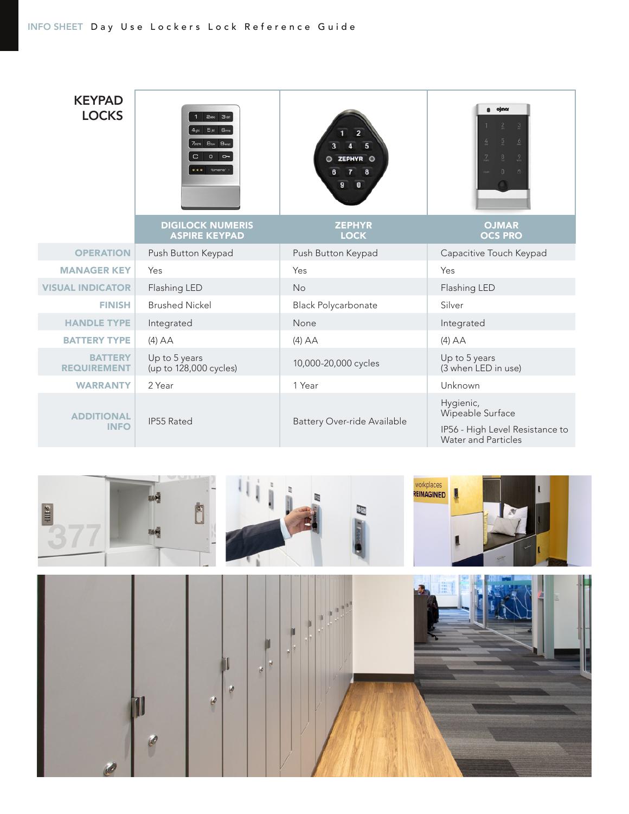#### INFO SHEET Day Use Lockers Lock Reference Guide





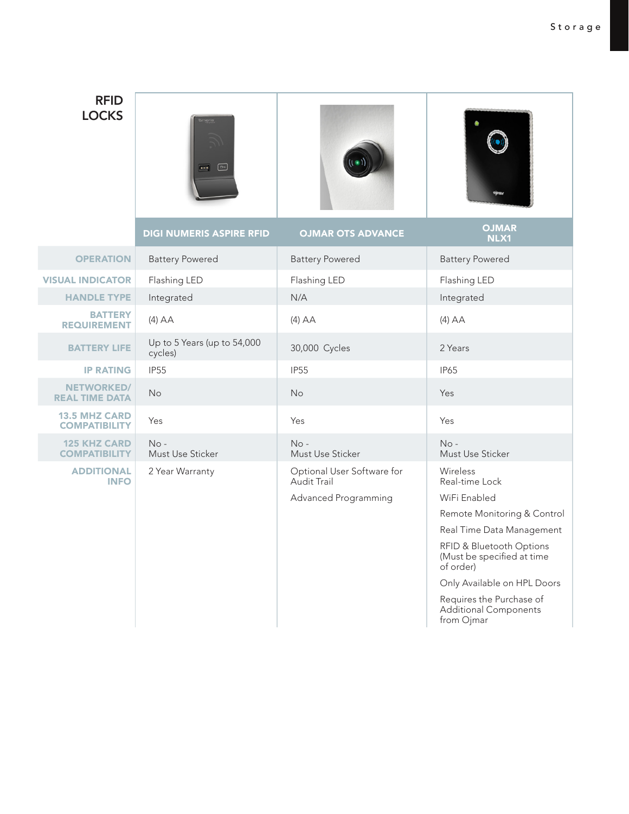### RFID **LOCKS**







VISUAL INDICAT **HANDLE T BATT REQUIREME** 

|                                              | <b>DIGI NUMERIS ASPIRE RFID</b>        | <b>OJMAR OTS ADVANCE</b>                  | <b>OJMAR</b><br>NLX1                                                |
|----------------------------------------------|----------------------------------------|-------------------------------------------|---------------------------------------------------------------------|
| <b>OPERATION</b>                             | <b>Battery Powered</b>                 | <b>Battery Powered</b>                    | <b>Battery Powered</b>                                              |
| <b>SUAL INDICATOR</b>                        | Flashing LED                           | Flashing LED                              | Flashing LED                                                        |
| <b>HANDLE TYPE</b>                           | Integrated                             | N/A                                       | Integrated                                                          |
| <b>BATTERY</b><br><b>REQUIREMENT</b>         | $(4)$ AA                               | $(4)$ AA                                  | $(4)$ AA                                                            |
| <b>BATTERY LIFE</b>                          | Up to 5 Years (up to 54,000<br>cycles) | 30,000 Cycles                             | 2 Years                                                             |
| <b>IP RATING</b>                             | <b>IP55</b>                            | <b>IP55</b>                               | <b>IP65</b>                                                         |
| <b>NETWORKED/</b><br><b>REAL TIME DATA</b>   | <b>No</b>                              | <b>No</b>                                 | Yes                                                                 |
| <b>13.5 MHZ CARD</b><br><b>COMPATIBILITY</b> | Yes                                    | Yes                                       | Yes                                                                 |
| <b>125 KHZ CARD</b><br><b>COMPATIBILITY</b>  | $No -$<br>Must Use Sticker             | $No -$<br>Must Use Sticker                | $No -$<br>Must Use Sticker                                          |
| <b>ADDITIONAL</b><br><b>INFO</b>             | 2 Year Warranty                        | Optional User Software for<br>Audit Trail | Wireless<br>Real-time Lock                                          |
|                                              |                                        | Advanced Programming                      | WiFi Enabled                                                        |
|                                              |                                        |                                           | Remote Monitoring & Control                                         |
|                                              |                                        |                                           | Real Time Data Management                                           |
|                                              |                                        |                                           | RFID & Bluetooth Options<br>(Must be specified at time<br>of order) |
|                                              |                                        |                                           | Only Available on HPL Doors                                         |
|                                              |                                        |                                           |                                                                     |

Requires the Purchase of Additional Components from Ojmar